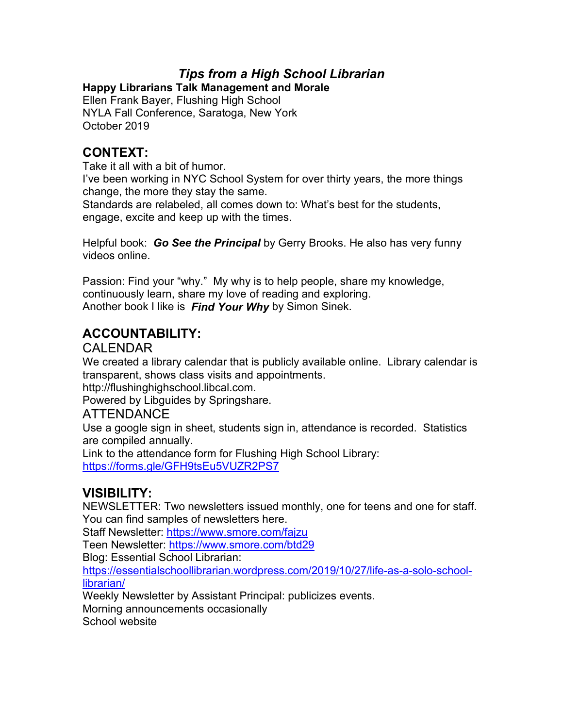# *Tips from a High School Librarian*

**Happy Librarians Talk Management and Morale**

Ellen Frank Bayer, Flushing High School NYLA Fall Conference, Saratoga, New York October 2019

# **CONTEXT:**

Take it all with a bit of humor.

I've been working in NYC School System for over thirty years, the more things change, the more they stay the same.

Standards are relabeled, all comes down to: What's best for the students, engage, excite and keep up with the times.

Helpful book: *Go See the Principal* by Gerry Brooks. He also has very funny videos online.

Passion: Find your "why." My why is to help people, share my knowledge, continuously learn, share my love of reading and exploring. Another book I like is *Find Your Why* by Simon Sinek.

# **ACCOUNTABILITY:**

#### CALENDAR

We created a library calendar that is publicly available online. Library calendar is transparent, shows class visits and appointments.

http://flushinghighschool.libcal.com.

Powered by Libguides by Springshare.

#### **ATTENDANCE**

Use a google sign in sheet, students sign in, attendance is recorded. Statistics are compiled annually.

Link to the attendance form for Flushing High School Library: <https://forms.gle/GFH9tsEu5VUZR2PS7>

# **VISIBILITY:**

NEWSLETTER: Two newsletters issued monthly, one for teens and one for staff. You can find samples of newsletters here.

Staff Newsletter:<https://www.smore.com/fajzu>

Teen Newsletter:<https://www.smore.com/btd29>

Blog: Essential School Librarian:

[https://essentialschoollibrarian.wordpress.com/2019/10/27/life-as-a-solo-school](https://essentialschoollibrarian.wordpress.com/2019/10/27/life-as-a-solo-school-librarian/)[librarian/](https://essentialschoollibrarian.wordpress.com/2019/10/27/life-as-a-solo-school-librarian/)

Weekly Newsletter by Assistant Principal: publicizes events.

Morning announcements occasionally

School website